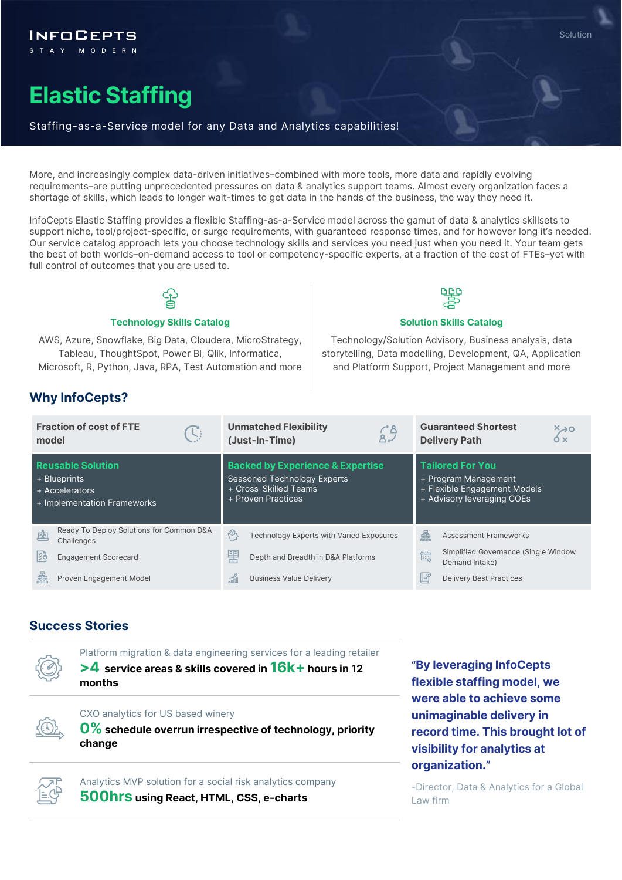# **Elastic Staffing**

FOCEPTS

#### Staffing-as-a-Service model for any Data and Analytics capabilities!

More, and increasingly complex data-driven initiatives–combined with more tools, more data and rapidly evolving requirements–are putting unprecedented pressures on data & analytics support teams. Almost every organization faces a shortage of skills, which leads to longer wait-times to get data in the hands of the business, the way they need it.

InfoCepts Elastic Staffing provides a flexible Staffing-as-a-Service model across the gamut of data & analytics skillsets to support niche, tool/project-specific, or surge requirements, with guaranteed response times, and for however long it's needed. Our service catalog approach lets you choose technology skills and services you need just when you need it. Your team gets the best of both worlds–on-demand access to tool or competency-specific experts, at a fraction of the cost of FTEs–yet with full control of outcomes that you are used to.



#### **Technology Skills Catalog <b>Solution Skills Catalog Solution Skills Catalog**

AWS, Azure, Snowflake, Big Data, Cloudera, MicroStrategy, Tableau, ThoughtSpot, Power BI, Qlik, Informatica, Microsoft, R, Python, Java, RPA, Test Automation and more

Technology/Solution Advisory, Business analysis, data storytelling, Data modelling, Development, QA, Application and Platform Support, Project Management and more

### **Why InfoCepts?**

| model                                                                                     | <b>Fraction of cost of FTE</b><br>J.                   |   | <b>Unmatched Flexibility</b><br>က်<br>၁<br>(Just-In-Time)                                                                        |     | <b>Guaranteed Shortest</b><br>$\begin{matrix} x\to 0\ x\end{matrix}$<br><b>Delivery Path</b>                  |  |
|-------------------------------------------------------------------------------------------|--------------------------------------------------------|---|----------------------------------------------------------------------------------------------------------------------------------|-----|---------------------------------------------------------------------------------------------------------------|--|
| <b>Reusable Solution</b><br>+ Blueprints<br>+ Accelerators<br>+ Implementation Frameworks |                                                        |   | <b>Backed by Experience &amp; Expertise</b><br><b>Seasoned Technology Experts</b><br>+ Cross-Skilled Teams<br>+ Proven Practices |     | <b>Tailored For You</b><br>+ Program Management<br>+ Flexible Engagement Models<br>+ Advisory leveraging COEs |  |
| 凼                                                                                         | Ready To Deploy Solutions for Common D&A<br>Challenges | 虛 | <b>Technology Experts with Varied Exposures</b>                                                                                  | 灥   | <b>Assessment Frameworks</b>                                                                                  |  |
| l⊱e                                                                                       | <b>Engagement Scorecard</b>                            | 譻 | Depth and Breadth in D&A Platforms                                                                                               | 的   | Simplified Governance (Single Window<br>Demand Intake)                                                        |  |
| 촓                                                                                         | Proven Engagement Model                                |   | <b>Business Value Delivery</b>                                                                                                   | ∥eY | <b>Delivery Best Practices</b>                                                                                |  |

#### **Success Stories**

Platform migration & data engineering services for a leading retailer **>4 service areas & skills covered in 16k+hours in 12 months**



CXO analytics for US based winery

**0% schedule overrun irrespective of technology, priority change**



Analytics MVP solution for a social risk analytics company **500hrs using React, HTML, CSS, e-charts**

**"By leveraging InfoCepts flexible staffing model, we were able to achieve some unimaginable delivery in record time. This brought lot of visibility for analytics at organization."** 

-Director, Data & Analytics for a Global Law firm